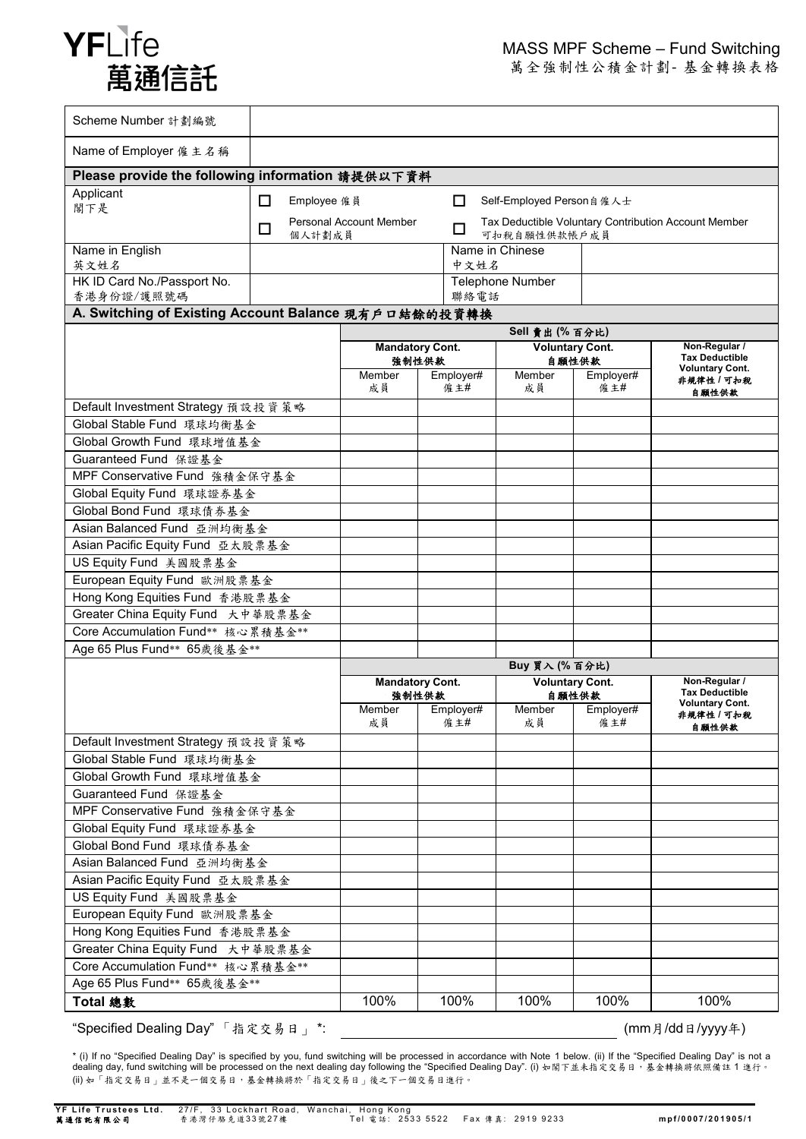

萬全強制性公積金計劃- 基金轉換表格

| Scheme Number 計劃編號                                   |                                                                                                                            |                                 |  |                                           |                           |                   |                                                                  |
|------------------------------------------------------|----------------------------------------------------------------------------------------------------------------------------|---------------------------------|--|-------------------------------------------|---------------------------|-------------------|------------------------------------------------------------------|
| Name of Employer 僱 主名稱                               |                                                                                                                            |                                 |  |                                           |                           |                   |                                                                  |
| Please provide the following information 請提供以下資料     |                                                                                                                            |                                 |  |                                           |                           |                   |                                                                  |
| Applicant<br>閣下是                                     | П<br>Employee 僱員<br>Self-Employed Person 自 僱 人士<br>П                                                                       |                                 |  |                                           |                           |                   |                                                                  |
|                                                      | <b>Personal Account Member</b><br>Tax Deductible Voluntary Contribution Account Member<br>□<br>□<br>可扣稅自願性供款帳戶成員<br>個人計劃成員 |                                 |  |                                           |                           |                   |                                                                  |
| Name in English<br>英文姓名                              | Name in Chinese<br>中文姓名                                                                                                    |                                 |  |                                           |                           |                   |                                                                  |
| HK ID Card No./Passport No.                          |                                                                                                                            |                                 |  |                                           | <b>Telephone Number</b>   |                   |                                                                  |
| 香港身份證/護照號碼                                           | 聯絡電話                                                                                                                       |                                 |  |                                           |                           |                   |                                                                  |
| A. Switching of Existing Account Balance 現有戶口結餘的投資轉換 |                                                                                                                            |                                 |  |                                           |                           |                   |                                                                  |
|                                                      |                                                                                                                            |                                 |  | Sell 賣出 (% 百分比)<br><b>Voluntary Cont.</b> |                           |                   | Non-Regular /                                                    |
|                                                      |                                                                                                                            | <b>Mandatory Cont.</b><br>強制性供款 |  |                                           | 自願性供款                     |                   | <b>Tax Deductible</b>                                            |
|                                                      |                                                                                                                            | Member<br>成員                    |  | Employer#<br>僱主#                          | Member<br>成員              | Employer#<br>僱 主# | <b>Voluntary Cont.</b><br>非規律性 / 可扣税<br>自願性供款                    |
| Default Investment Strategy 預設投資策略                   |                                                                                                                            |                                 |  |                                           |                           |                   |                                                                  |
| Global Stable Fund 環球均衡基金                            |                                                                                                                            |                                 |  |                                           |                           |                   |                                                                  |
| Global Growth Fund 環球增值基金                            |                                                                                                                            |                                 |  |                                           |                           |                   |                                                                  |
| Guaranteed Fund 保證基金                                 |                                                                                                                            |                                 |  |                                           |                           |                   |                                                                  |
| MPF Conservative Fund 強積金保守基金                        |                                                                                                                            |                                 |  |                                           |                           |                   |                                                                  |
| Global Equity Fund 環球證券基金                            |                                                                                                                            |                                 |  |                                           |                           |                   |                                                                  |
| Global Bond Fund 環球債券基金                              |                                                                                                                            |                                 |  |                                           |                           |                   |                                                                  |
| Asian Balanced Fund 亞洲均衡基金                           |                                                                                                                            |                                 |  |                                           |                           |                   |                                                                  |
| Asian Pacific Equity Fund 亞太股票基金                     |                                                                                                                            |                                 |  |                                           |                           |                   |                                                                  |
| US Equity Fund 美國股票基金                                |                                                                                                                            |                                 |  |                                           |                           |                   |                                                                  |
| European Equity Fund 歐洲股票基金                          |                                                                                                                            |                                 |  |                                           |                           |                   |                                                                  |
| Hong Kong Equities Fund 香港股票基金                       |                                                                                                                            |                                 |  |                                           |                           |                   |                                                                  |
| Greater China Equity Fund 大中華股票基金                    |                                                                                                                            |                                 |  |                                           |                           |                   |                                                                  |
| Core Accumulation Fund** 核心累積基金**                    |                                                                                                                            |                                 |  |                                           |                           |                   |                                                                  |
| Age 65 Plus Fund** 65歲後基金**                          |                                                                                                                            |                                 |  |                                           |                           |                   |                                                                  |
|                                                      |                                                                                                                            | Buy 買入 (% 百分比)                  |  |                                           |                           |                   |                                                                  |
|                                                      |                                                                                                                            | <b>Mandatory Cont.</b>          |  |                                           | <b>Voluntary Cont.</b>    |                   | Non-Regular /<br><b>Tax Deductible</b><br><b>Voluntary Cont.</b> |
|                                                      |                                                                                                                            | 強制性供款                           |  |                                           | 自願性供款<br>Member Employer# |                   |                                                                  |
|                                                      |                                                                                                                            | Member   Employer#<br>成員        |  | 僱 主#                                      | 成員                        | 僱 主#              | 非規律性 / 可扣税                                                       |
| Default Investment Strategy 預設投資策略                   |                                                                                                                            |                                 |  |                                           |                           |                   | 自顾性供款                                                            |
| Global Stable Fund 環球均衡基金                            |                                                                                                                            |                                 |  |                                           |                           |                   |                                                                  |
| Global Growth Fund 環球增值基金                            |                                                                                                                            |                                 |  |                                           |                           |                   |                                                                  |
| Guaranteed Fund 保證基金                                 |                                                                                                                            |                                 |  |                                           |                           |                   |                                                                  |
| MPF Conservative Fund 強積金保守基金                        |                                                                                                                            |                                 |  |                                           |                           |                   |                                                                  |
| Global Equity Fund 環球證券基金                            |                                                                                                                            |                                 |  |                                           |                           |                   |                                                                  |
| Global Bond Fund 環球債券基金                              |                                                                                                                            |                                 |  |                                           |                           |                   |                                                                  |
| Asian Balanced Fund 亞洲均衡基金                           |                                                                                                                            |                                 |  |                                           |                           |                   |                                                                  |
| Asian Pacific Equity Fund 亞太股票基金                     |                                                                                                                            |                                 |  |                                           |                           |                   |                                                                  |
| US Equity Fund 美國股票基金                                |                                                                                                                            |                                 |  |                                           |                           |                   |                                                                  |
| European Equity Fund 歐洲股票基金                          |                                                                                                                            |                                 |  |                                           |                           |                   |                                                                  |
| Hong Kong Equities Fund 香港股票基金                       |                                                                                                                            |                                 |  |                                           |                           |                   |                                                                  |
| Greater China Equity Fund 大中華股票基金                    |                                                                                                                            |                                 |  |                                           |                           |                   |                                                                  |
| Core Accumulation Fund** 核心累積基金**                    |                                                                                                                            |                                 |  |                                           |                           |                   |                                                                  |
| Age 65 Plus Fund** 65歲後基金**                          |                                                                                                                            |                                 |  |                                           |                           |                   |                                                                  |
| Total 總數                                             |                                                                                                                            | 100%                            |  | 100%                                      | 100%                      | 100%              | 100%                                                             |
|                                                      |                                                                                                                            |                                 |  |                                           |                           |                   |                                                                  |

"Specified Dealing Day" 「指定交易日」 \*: (mm月/dd日/yyyy年)

\* (i) If no "Specified Dealing Day" is specified by you, fund switching will be processed in accordance with Note 1 below. (ii) If the "Specified Dealing Day" is not a dealing day, fund switching will be processed on the next dealing day following the "Specified Dealing Day". (i) 如閣下並未指定交易日,基金轉換將依照備註 1 進行。 (ii) 如「指定交易日」並不是一個交易日,基金轉換將於「指定交易日」後之下一個交易日進行。